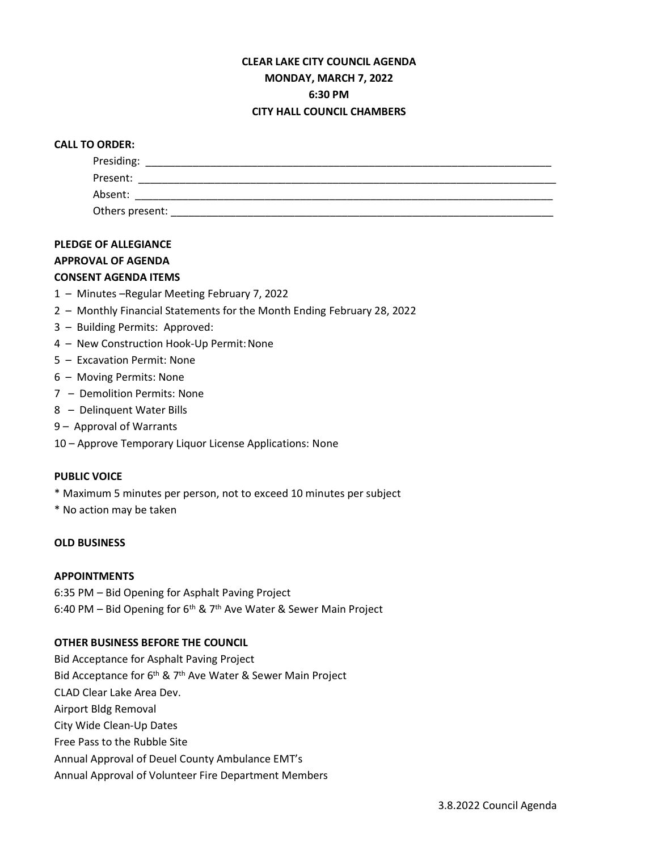### **CLEAR LAKE CITY COUNCIL AGENDA MONDAY, MARCH 7, 2022 6:30 PM CITY HALL COUNCIL CHAMBERS**

# **CALL TO ORDER:** Presiding: \_\_\_\_\_\_\_\_\_\_\_\_\_\_\_\_\_\_\_\_\_\_\_\_\_\_\_\_\_\_\_\_\_\_\_\_\_\_\_\_\_\_\_\_\_\_\_\_\_\_\_\_\_\_\_\_\_\_\_\_\_\_\_\_\_\_\_\_\_ Present: \_\_\_\_\_\_\_\_\_\_\_\_\_\_\_\_\_\_\_\_\_\_\_\_\_\_\_\_\_\_\_\_\_\_\_\_\_\_\_\_\_\_\_\_\_\_\_\_\_\_\_\_\_\_\_\_\_\_\_\_\_\_\_\_\_\_\_\_\_\_\_ Absent: Others present: \_\_\_\_\_\_\_\_\_\_\_\_\_\_\_\_\_\_\_\_\_\_\_\_\_\_\_\_\_\_\_\_\_\_\_\_\_\_\_\_\_\_\_\_\_\_\_\_\_\_\_\_\_\_\_\_\_\_\_\_\_\_\_\_\_

#### **PLEDGE OF ALLEGIANCE**

#### **APPROVAL OF AGENDA**

#### **CONSENT AGENDA ITEMS**

- 1 Minutes –Regular Meeting February 7, 2022
- 2 Monthly Financial Statements for the Month Ending February 28, 2022
- 3 Building Permits: Approved:
- 4 New Construction Hook-Up Permit:None
- 5 Excavation Permit: None
- 6 Moving Permits: None
- 7 Demolition Permits: None
- 8 Delinquent Water Bills
- 9 Approval of Warrants
- 10 Approve Temporary Liquor License Applications: None

#### **PUBLIC VOICE**

- \* Maximum 5 minutes per person, not to exceed 10 minutes per subject
- \* No action may be taken

#### **OLD BUSINESS**

#### **APPOINTMENTS**

6:35 PM – Bid Opening for Asphalt Paving Project 6:40 PM – Bid Opening for  $6<sup>th</sup>$  & 7<sup>th</sup> Ave Water & Sewer Main Project

#### **OTHER BUSINESS BEFORE THE COUNCIL**

Bid Acceptance for Asphalt Paving Project Bid Acceptance for 6<sup>th</sup> & 7<sup>th</sup> Ave Water & Sewer Main Project CLAD Clear Lake Area Dev. Airport Bldg Removal City Wide Clean-Up Dates Free Pass to the Rubble Site Annual Approval of Deuel County Ambulance EMT's Annual Approval of Volunteer Fire Department Members